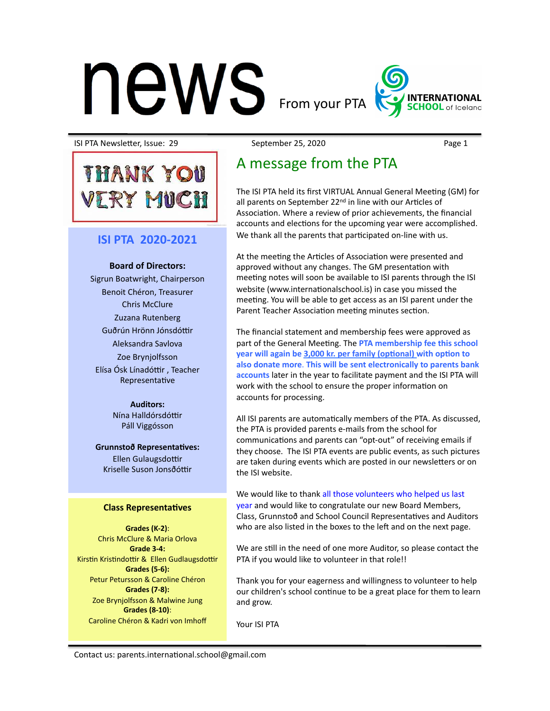# $\mathsf{new}$  From your PTA



ISI PTA NewsleOer, Issue: 29 September 25, 2020 Page 1 

# A message from the PTA

The ISI PTA held its first VIRTUAL Annual General Meeting (GM) for all parents on September  $22<sup>nd</sup>$  in line with our Articles of Association. Where a review of prior achievements, the financial accounts and elections for the upcoming year were accomplished. We thank all the parents that participated on-line with us.

At the meeting the Articles of Association were presented and approved without any changes. The GM presentation with meeting notes will soon be available to ISI parents through the ISI website (www.internationalschool.is) in case you missed the meeting. You will be able to get access as an ISI parent under the Parent Teacher Association meeting minutes section.

The financial statement and membership fees were approved as part of the General Meeting. The PTA membership fee this school **year** will again be 3,000 kr. per family (optional) with option to also donate more. This will be sent electronically to parents bank accounts later in the year to facilitate payment and the ISI PTA will work with the school to ensure the proper information on accounts for processing.

All ISI parents are automatically members of the PTA. As discussed, the PTA is provided parents e-mails from the school for communications and parents can "opt-out" of receiving emails if they choose. The ISI PTA events are public events, as such pictures are taken during events which are posted in our newsletters or on the ISI website

We would like to thank all those volunteers who helped us last year and would like to congratulate our new Board Members, Class, Grunnstoð and School Council Representatives and Auditors who are also listed in the boxes to the left and on the next page.

We are still in the need of one more Auditor, so please contact the PTA if you would like to volunteer in that role!!

Thank you for your eagerness and willingness to volunteer to help our children's school continue to be a great place for them to learn and grow.

Your ISI PTA

Contact us: parents.international.school@gmail.com

**Board of Directors:** Sigrun Boatwright, Chairperson Benoit Chéron, Treasurer Chris McClure Zuzana Rutenberg Guðrún Hrönn Jónsdóttir Aleksandra Savlova Zoe Brynjolfsson Elísa Ósk Línadóttir, Teacher Representative

**ISI PTA 2020-2021** 

**THANK YOU** 

ERY MUCH

**Auditors:** Nína Halldórsdóttir Páll Viggósson 

**Grunnstoð Representatives:** Ellen Gulaugsdottir Kriselle Suson Jonsðóttir

### **Class Representatives**

**Grades (K-2)**: Chris McClure & Maria Orlova Grade 3-4: Kirstin Kristindottir & Ellen Gudlaugsdottir Grades (5-6): Petur Petursson & Caroline Chéron Grades (7-8): **Zoe Brynjolfsson & Malwine Jung Grades (8-10)**: Caroline Chéron & Kadri von Imhoff